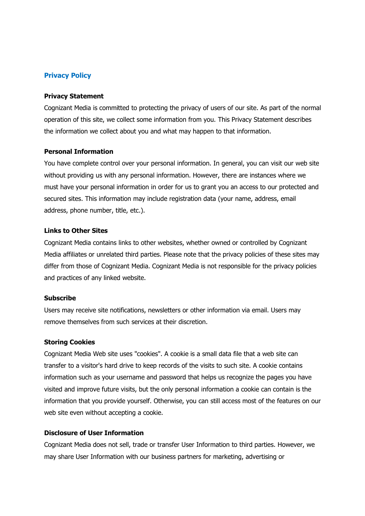# Privacy Policy

### Privacy Statement

Cognizant Media is committed to protecting the privacy of users of our site. As part of the normal operation of this site, we collect some information from you. This Privacy Statement describes the information we collect about you and what may happen to that information.

### Personal Information

You have complete control over your personal information. In general, you can visit our web site without providing us with any personal information. However, there are instances where we must have your personal information in order for us to grant you an access to our protected and secured sites. This information may include registration data (your name, address, email address, phone number, title, etc.).

# Links to Other Sites

Cognizant Media contains links to other websites, whether owned or controlled by Cognizant Media affiliates or unrelated third parties. Please note that the privacy policies of these sites may differ from those of Cognizant Media. Cognizant Media is not responsible for the privacy policies and practices of any linked website.

### Subscribe

Users may receive site notifications, newsletters or other information via email. Users may remove themselves from such services at their discretion.

#### Storing Cookies

Cognizant Media Web site uses "cookies". A cookie is a small data file that a web site can transfer to a visitor's hard drive to keep records of the visits to such site. A cookie contains information such as your username and password that helps us recognize the pages you have visited and improve future visits, but the only personal information a cookie can contain is the information that you provide yourself. Otherwise, you can still access most of the features on our web site even without accepting a cookie.

# Disclosure of User Information

Cognizant Media does not sell, trade or transfer User Information to third parties. However, we may share User Information with our business partners for marketing, advertising or